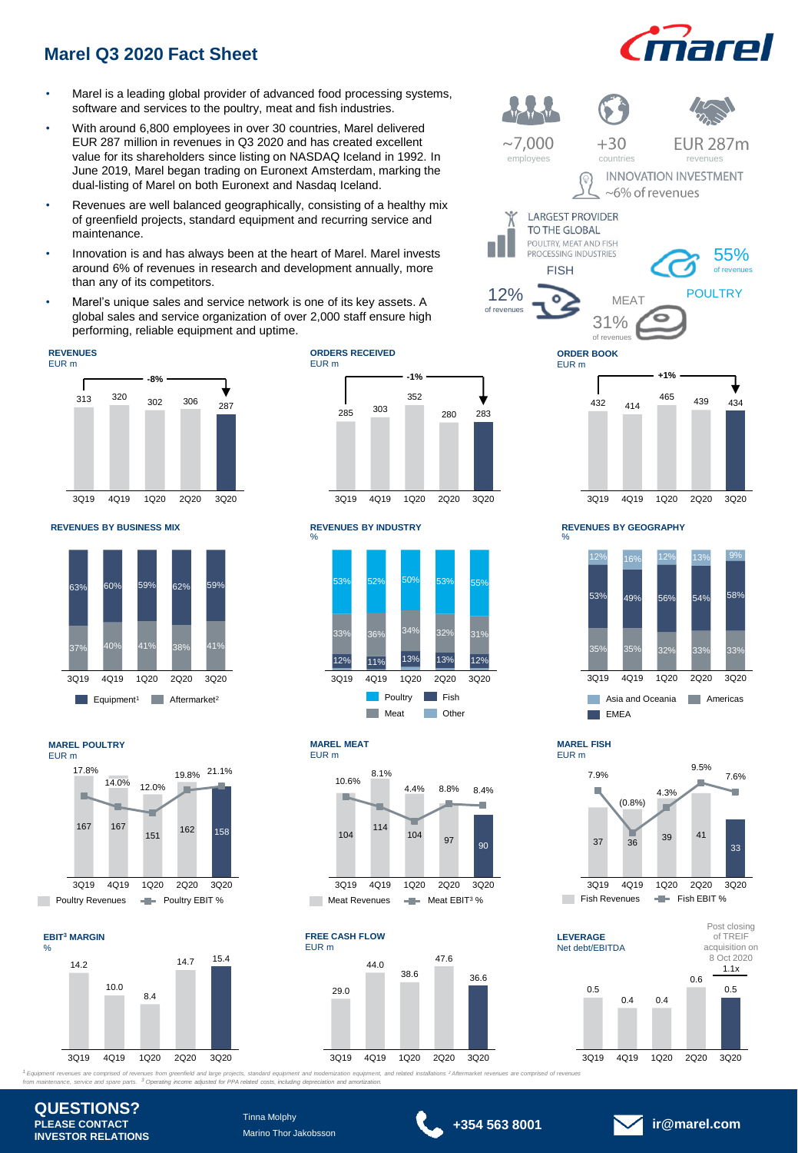# **Marel Q3 2020 Fact Sheet**

- Marel is a leading global provider of advanced food processing systems, software and services to the poultry, meat and fish industries.
- With around 6,800 employees in over 30 countries, Marel delivered EUR 287 million in revenues in Q3 2020 and has created excellent value for its shareholders since listing on NASDAQ Iceland in 1992. In June 2019, Marel began trading on Euronext Amsterdam, marking the dual-listing of Marel on both Euronext and Nasdaq Iceland.
- Revenues are well balanced geographically, consisting of a healthy mix of greenfield projects, standard equipment and recurring service and maintenance.
- Innovation is and has always been at the heart of Marel. Marel invests around 6% of revenues in research and development annually, more than any of its competitors.
- Marel's unique sales and service network is one of its key assets. A global sales and service organization of over 2,000 staff ensure high performing, reliable equipment and uptime.

#### **REVENUES** EUR m



**REVENUES BY BUSINESS MIX REVENUES BY INDUSTRY**



**MAREL POULTRY** EUR m



### **EBIT<sup>3</sup> MARGIN**



#### **ORDERS RECEIVED** EUR m







**MAREL MEAT**  EUR m





<sup>1</sup> Equipment reverues are comprised of revenues from greenfield and large projects, standard equipment and modemization equipment, and related installations <sup>2</sup> Aftermarket revenues are comprised of revenues<br>from maintena







**MAREL FISH**  EUR m





**QUESTIONS? PLEASE CONTACT INVESTOR RELATIONS**

Tinna Molphy Marino Thor Jakobsson